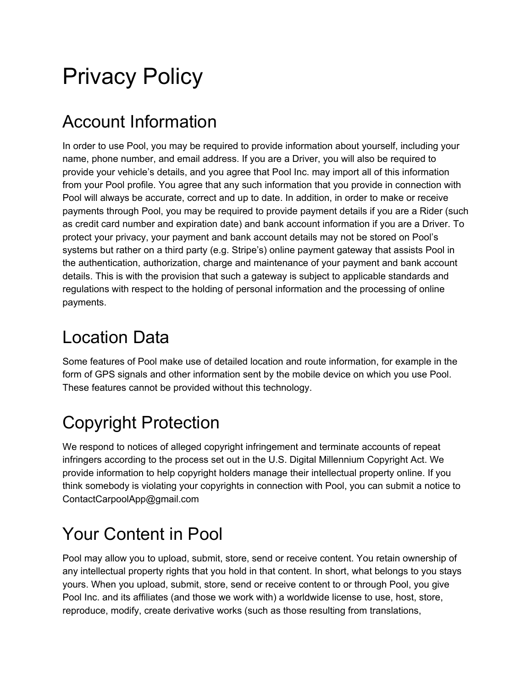# Privacy Policy

## Account Information

In order to use Pool, you may be required to provide information about yourself, including your name, phone number, and email address. If you are a Driver, you will also be required to provide your vehicle's details, and you agree that Pool Inc. may import all of this information from your Pool profile. You agree that any such information that you provide in connection with Pool will always be accurate, correct and up to date. In addition, in order to make or receive payments through Pool, you may be required to provide payment details if you are a Rider (such as credit card number and expiration date) and bank account information if you are a Driver. To protect your privacy, your payment and bank account details may not be stored on Pool's systems but rather on a third party (e.g. Stripe's) online payment gateway that assists Pool in the authentication, authorization, charge and maintenance of your payment and bank account details. This is with the provision that such a gateway is subject to applicable standards and regulations with respect to the holding of personal information and the processing of online payments.

#### Location Data

Some features of Pool make use of detailed location and route information, for example in the form of GPS signals and other information sent by the mobile device on which you use Pool. These features cannot be provided without this technology.

# Copyright Protection

We respond to notices of alleged copyright infringement and terminate accounts of repeat infringers according to the process set out in the U.S. Digital Millennium Copyright Act. We provide information to help copyright holders manage their intellectual property online. If you think somebody is violating your copyrights in connection with Pool, you can submit a notice to ContactCarpoolApp@gmail.com

## Your Content in Pool

Pool may allow you to upload, submit, store, send or receive content. You retain ownership of any intellectual property rights that you hold in that content. In short, what belongs to you stays yours. When you upload, submit, store, send or receive content to or through Pool, you give Pool Inc. and its affiliates (and those we work with) a worldwide license to use, host, store, reproduce, modify, create derivative works (such as those resulting from translations,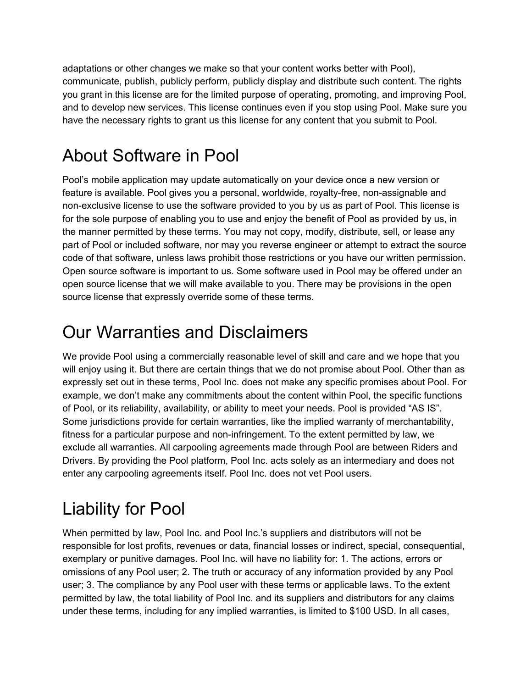adaptations or other changes we make so that your content works better with Pool), communicate, publish, publicly perform, publicly display and distribute such content. The rights you grant in this license are for the limited purpose of operating, promoting, and improving Pool, and to develop new services. This license continues even if you stop using Pool. Make sure you have the necessary rights to grant us this license for any content that you submit to Pool.

### About Software in Pool

Pool's mobile application may update automatically on your device once a new version or feature is available. Pool gives you a personal, worldwide, royalty-free, non-assignable and non-exclusive license to use the software provided to you by us as part of Pool. This license is for the sole purpose of enabling you to use and enjoy the benefit of Pool as provided by us, in the manner permitted by these terms. You may not copy, modify, distribute, sell, or lease any part of Pool or included software, nor may you reverse engineer or attempt to extract the source code of that software, unless laws prohibit those restrictions or you have our written permission. Open source software is important to us. Some software used in Pool may be offered under an open source license that we will make available to you. There may be provisions in the open source license that expressly override some of these terms.

### Our Warranties and Disclaimers

We provide Pool using a commercially reasonable level of skill and care and we hope that you will enjoy using it. But there are certain things that we do not promise about Pool. Other than as expressly set out in these terms, Pool Inc. does not make any specific promises about Pool. For example, we don't make any commitments about the content within Pool, the specific functions of Pool, or its reliability, availability, or ability to meet your needs. Pool is provided "AS IS". Some jurisdictions provide for certain warranties, like the implied warranty of merchantability, fitness for a particular purpose and non-infringement. To the extent permitted by law, we exclude all warranties. All carpooling agreements made through Pool are between Riders and Drivers. By providing the Pool platform, Pool Inc. acts solely as an intermediary and does not enter any carpooling agreements itself. Pool Inc. does not vet Pool users.

## Liability for Pool

When permitted by law, Pool Inc. and Pool Inc.'s suppliers and distributors will not be responsible for lost profits, revenues or data, financial losses or indirect, special, consequential, exemplary or punitive damages. Pool Inc. will have no liability for: 1. The actions, errors or omissions of any Pool user; 2. The truth or accuracy of any information provided by any Pool user; 3. The compliance by any Pool user with these terms or applicable laws. To the extent permitted by law, the total liability of Pool Inc. and its suppliers and distributors for any claims under these terms, including for any implied warranties, is limited to \$100 USD. In all cases,